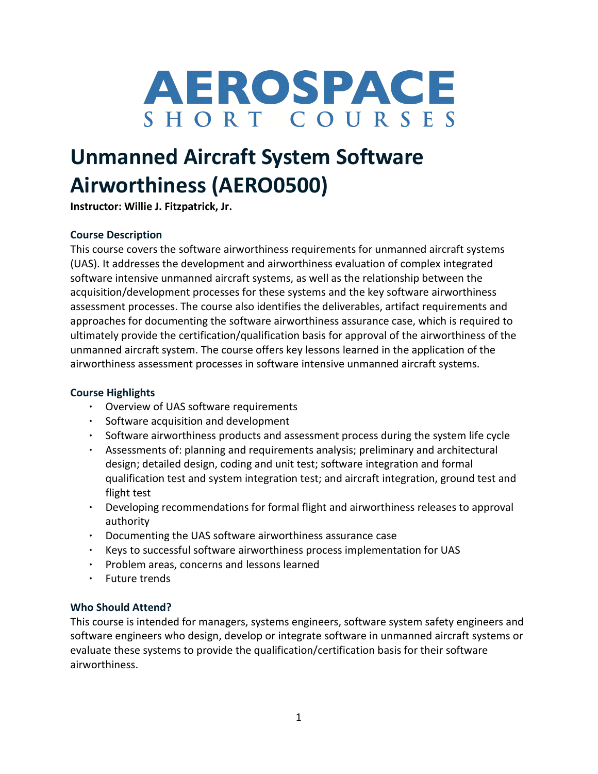

# **Unmanned Aircraft System Software Airworthiness (AERO0500)**

**Instructor: Willie J. Fitzpatrick, Jr.**

# **Course Description**

This course covers the software airworthiness requirements for unmanned aircraft systems (UAS). It addresses the development and airworthiness evaluation of complex integrated software intensive unmanned aircraft systems, as well as the relationship between the acquisition/development processes for these systems and the key software airworthiness assessment processes. The course also identifies the deliverables, artifact requirements and approaches for documenting the software airworthiness assurance case, which is required to ultimately provide the certification/qualification basis for approval of the airworthiness of the unmanned aircraft system. The course offers key lessons learned in the application of the airworthiness assessment processes in software intensive unmanned aircraft systems.

## **Course Highlights**

- Overview of UAS software requirements
- Software acquisition and development
- Software airworthiness products and assessment process during the system life cycle
- Assessments of: planning and requirements analysis; preliminary and architectural design; detailed design, coding and unit test; software integration and formal qualification test and system integration test; and aircraft integration, ground test and flight test
- Developing recommendations for formal flight and airworthiness releases to approval authority
- Documenting the UAS software airworthiness assurance case
- Keys to successful software airworthiness process implementation for UAS
- Problem areas, concerns and lessons learned
- Future trends

## **Who Should Attend?**

This course is intended for managers, systems engineers, software system safety engineers and software engineers who design, develop or integrate software in unmanned aircraft systems or evaluate these systems to provide the qualification/certification basis for their software airworthiness.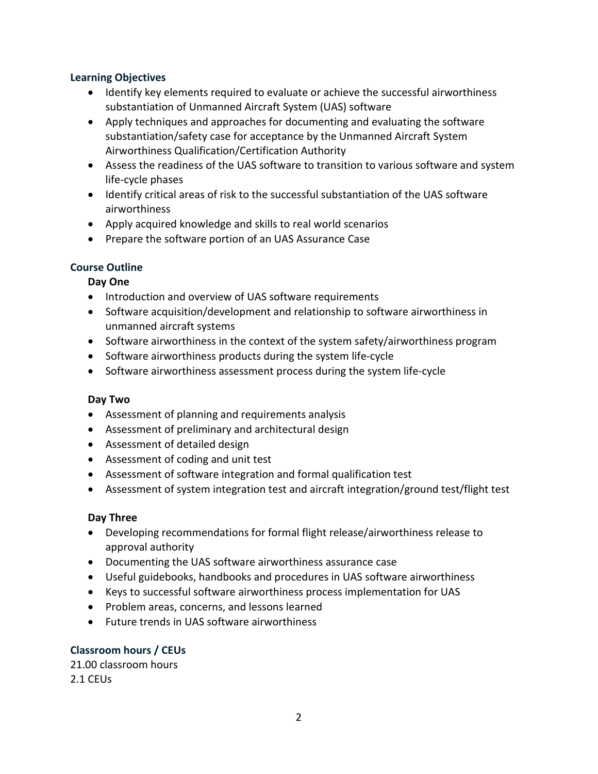## **Learning Objectives**

- Identify key elements required to evaluate or achieve the successful airworthiness substantiation of Unmanned Aircraft System (UAS) software
- Apply techniques and approaches for documenting and evaluating the software substantiation/safety case for acceptance by the Unmanned Aircraft System Airworthiness Qualification/Certification Authority
- Assess the readiness of the UAS software to transition to various software and system life-cycle phases
- Identify critical areas of risk to the successful substantiation of the UAS software airworthiness
- Apply acquired knowledge and skills to real world scenarios
- Prepare the software portion of an UAS Assurance Case

# **Course Outline**

# **Day One**

- Introduction and overview of UAS software requirements
- Software acquisition/development and relationship to software airworthiness in unmanned aircraft systems
- Software airworthiness in the context of the system safety/airworthiness program
- Software airworthiness products during the system life-cycle
- Software airworthiness assessment process during the system life-cycle

# **Day Two**

- Assessment of planning and requirements analysis
- Assessment of preliminary and architectural design
- Assessment of detailed design
- Assessment of coding and unit test
- Assessment of software integration and formal qualification test
- Assessment of system integration test and aircraft integration/ground test/flight test

# **Day Three**

- Developing recommendations for formal flight release/airworthiness release to approval authority
- Documenting the UAS software airworthiness assurance case
- Useful guidebooks, handbooks and procedures in UAS software airworthiness
- Keys to successful software airworthiness process implementation for UAS
- Problem areas, concerns, and lessons learned
- Future trends in UAS software airworthiness

# **Classroom hours / CEUs**

21.00 classroom hours 2.1 CEUs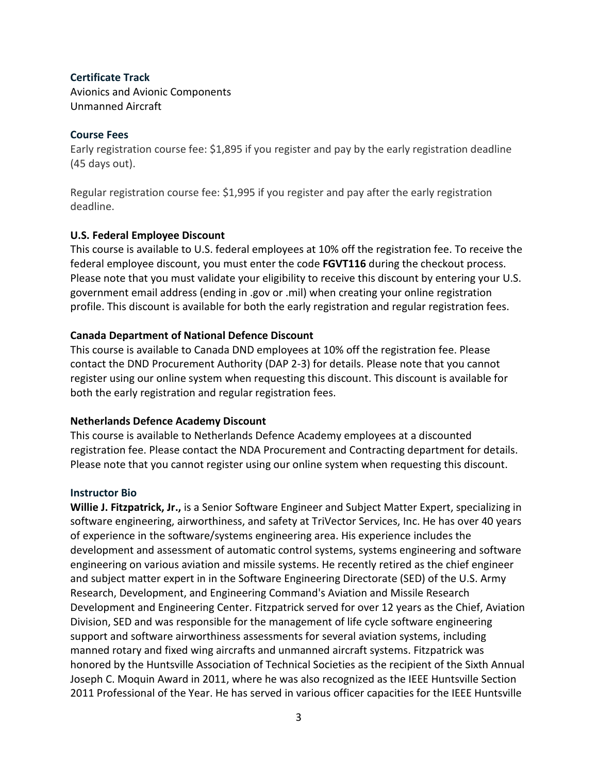## **Certificate Track**

Avionics and Avionic Components Unmanned Aircraft

## **Course Fees**

Early registration course fee: \$1,895 if you register and pay by the early registration deadline (45 days out).

Regular registration course fee: \$1,995 if you register and pay after the early registration deadline.

## **U.S. Federal Employee Discount**

This course is available to U.S. federal employees at 10% off the registration fee. To receive the federal employee discount, you must enter the code **FGVT116** during the checkout process. Please note that you must validate your eligibility to receive this discount by entering your U.S. government email address (ending in .gov or .mil) when creating your online registration profile. This discount is available for both the early registration and regular registration fees.

## **Canada Department of National Defence Discount**

This course is available to Canada DND employees at 10% off the registration fee. Please contact the DND Procurement Authority (DAP 2-3) for details. Please note that you cannot register using our online system when requesting this discount. This discount is available for both the early registration and regular registration fees.

## **Netherlands Defence Academy Discount**

This course is available to Netherlands Defence Academy employees at a discounted registration fee. Please contact the NDA Procurement and Contracting department for details. Please note that you cannot register using our online system when requesting this discount.

## **Instructor Bio**

**Willie J. Fitzpatrick, Jr.,** is a Senior Software Engineer and Subject Matter Expert, specializing in software engineering, airworthiness, and safety at TriVector Services, Inc. He has over 40 years of experience in the software/systems engineering area. His experience includes the development and assessment of automatic control systems, systems engineering and software engineering on various aviation and missile systems. He recently retired as the chief engineer and subject matter expert in in the Software Engineering Directorate (SED) of the U.S. Army Research, Development, and Engineering Command's Aviation and Missile Research Development and Engineering Center. Fitzpatrick served for over 12 years as the Chief, Aviation Division, SED and was responsible for the management of life cycle software engineering support and software airworthiness assessments for several aviation systems, including manned rotary and fixed wing aircrafts and unmanned aircraft systems. Fitzpatrick was honored by the Huntsville Association of Technical Societies as the recipient of the Sixth Annual Joseph C. Moquin Award in 2011, where he was also recognized as the IEEE Huntsville Section 2011 Professional of the Year. He has served in various officer capacities for the IEEE Huntsville